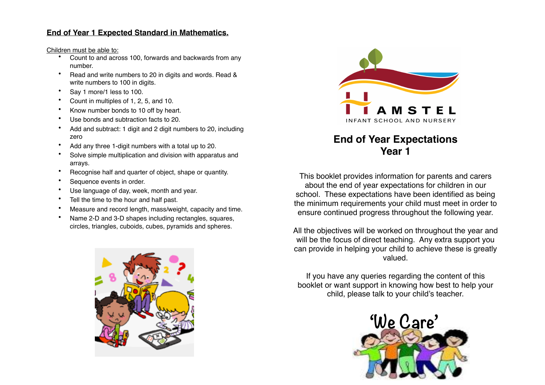# **End of Year 1 Expected Standard in Mathematics.**

Children must be able to:

- Count to and across 100, forwards and backwards from any number.
- Read and write numbers to 20 in digits and words. Read & write numbers to 100 in digits.
- Say 1 more/1 less to 100.
- Count in multiples of 1, 2, 5, and 10.
- Know number bonds to 10 off by heart.
- Use bonds and subtraction facts to 20.
- Add and subtract: 1 digit and 2 digit numbers to 20, including zero
- Add any three 1-digit numbers with a total up to 20.
- Solve simple multiplication and division with apparatus and arrays.
- Recognise half and quarter of object, shape or quantity.
- Sequence events in order.
- Use language of day, week, month and year.
- Tell the time to the hour and half past.
- Measure and record length, mass/weight, capacity and time.
- Name 2-D and 3-D shapes including rectangles, squares, circles, triangles, cuboids, cubes, pyramids and spheres.





# **End of Year Expectations Year 1**

This booklet provides information for parents and carers about the end of year expectations for children in our school. These expectations have been identified as being the minimum requirements your child must meet in order to ensure continued progress throughout the following year.

All the objectives will be worked on throughout the year and will be the focus of direct teaching. Any extra support you can provide in helping your child to achieve these is greatly valued.

If you have any queries regarding the content of this booklet or want support in knowing how best to help your child, please talk to your child's teacher.